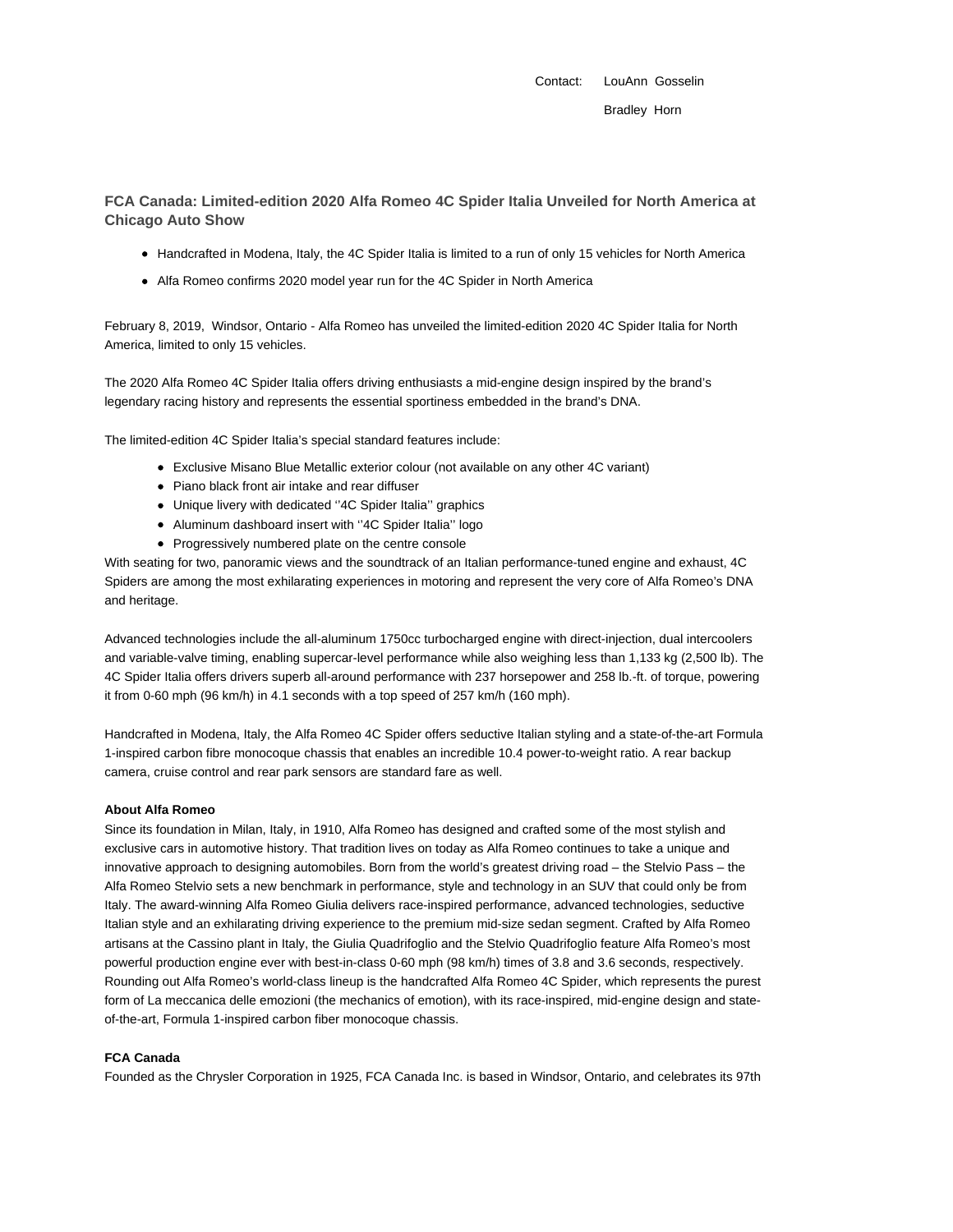Contact: LouAnn Gosselin Bradley Horn

**FCA Canada: Limited-edition 2020 Alfa Romeo 4C Spider Italia Unveiled for North America at Chicago Auto Show**

- Handcrafted in Modena, Italy, the 4C Spider Italia is limited to a run of only 15 vehicles for North America
- Alfa Romeo confirms 2020 model year run for the 4C Spider in North America

February 8, 2019, Windsor, Ontario - Alfa Romeo has unveiled the limited-edition 2020 4C Spider Italia for North America, limited to only 15 vehicles.

The 2020 Alfa Romeo 4C Spider Italia offers driving enthusiasts a mid-engine design inspired by the brand's legendary racing history and represents the essential sportiness embedded in the brand's DNA.

The limited-edition 4C Spider Italia's special standard features include:

- Exclusive Misano Blue Metallic exterior colour (not available on any other 4C variant)
- Piano black front air intake and rear diffuser
- Unique livery with dedicated ''4C Spider Italia'' graphics
- Aluminum dashboard insert with "4C Spider Italia" logo
- Progressively numbered plate on the centre console

With seating for two, panoramic views and the soundtrack of an Italian performance-tuned engine and exhaust, 4C Spiders are among the most exhilarating experiences in motoring and represent the very core of Alfa Romeo's DNA and heritage.

Advanced technologies include the all-aluminum 1750cc turbocharged engine with direct-injection, dual intercoolers and variable-valve timing, enabling supercar-level performance while also weighing less than 1,133 kg (2,500 lb). The 4C Spider Italia offers drivers superb all-around performance with 237 horsepower and 258 lb.-ft. of torque, powering it from 0-60 mph (96 km/h) in 4.1 seconds with a top speed of 257 km/h (160 mph).

Handcrafted in Modena, Italy, the Alfa Romeo 4C Spider offers seductive Italian styling and a state-of-the-art Formula 1-inspired carbon fibre monocoque chassis that enables an incredible 10.4 power-to-weight ratio. A rear backup camera, cruise control and rear park sensors are standard fare as well.

## **About Alfa Romeo**

Since its foundation in Milan, Italy, in 1910, Alfa Romeo has designed and crafted some of the most stylish and exclusive cars in automotive history. That tradition lives on today as Alfa Romeo continues to take a unique and innovative approach to designing automobiles. Born from the world's greatest driving road – the Stelvio Pass – the Alfa Romeo Stelvio sets a new benchmark in performance, style and technology in an SUV that could only be from Italy. The award-winning Alfa Romeo Giulia delivers race-inspired performance, advanced technologies, seductive Italian style and an exhilarating driving experience to the premium mid-size sedan segment. Crafted by Alfa Romeo artisans at the Cassino plant in Italy, the Giulia Quadrifoglio and the Stelvio Quadrifoglio feature Alfa Romeo's most powerful production engine ever with best-in-class 0-60 mph (98 km/h) times of 3.8 and 3.6 seconds, respectively. Rounding out Alfa Romeo's world-class lineup is the handcrafted Alfa Romeo 4C Spider, which represents the purest form of La meccanica delle emozioni (the mechanics of emotion), with its race-inspired, mid-engine design and stateof-the-art, Formula 1-inspired carbon fiber monocoque chassis.

## **FCA Canada**

Founded as the Chrysler Corporation in 1925, FCA Canada Inc. is based in Windsor, Ontario, and celebrates its 97th